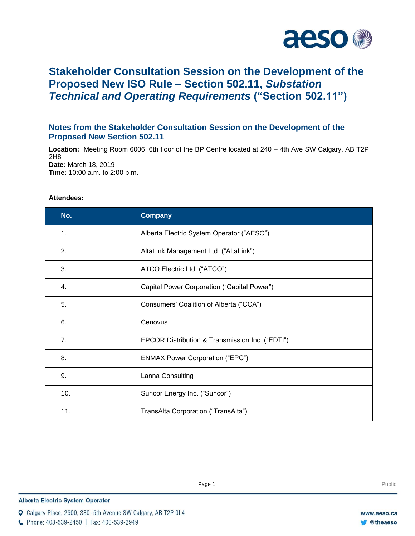

# **Stakeholder Consultation Session on the Development of the Proposed New ISO Rule – Section 502.11,** *Substation Technical and Operating Requirements* **("Section 502.11")**

## **Notes from the Stakeholder Consultation Session on the Development of the Proposed New Section 502.11**

**Location:** Meeting Room 6006, 6th floor of the BP Centre located at 240 – 4th Ave SW Calgary, AB T2P 2H8 **Date:** March 18, 2019 **Time:** 10:00 a.m. to 2:00 p.m.

## **Attendees:**

| No. | <b>Company</b>                                  |
|-----|-------------------------------------------------|
| 1.  | Alberta Electric System Operator ("AESO")       |
| 2.  | AltaLink Management Ltd. ("AltaLink")           |
| 3.  | ATCO Electric Ltd. ("ATCO")                     |
| 4.  | Capital Power Corporation ("Capital Power")     |
| 5.  | Consumers' Coalition of Alberta ("CCA")         |
| 6.  | Cenovus                                         |
| 7.  | EPCOR Distribution & Transmission Inc. ("EDTI") |
| 8.  | <b>ENMAX Power Corporation ("EPC")</b>          |
| 9.  | Lanna Consulting                                |
| 10. | Suncor Energy Inc. ("Suncor")                   |
| 11. | TransAlta Corporation ("TransAlta")             |

Q Calgary Place, 2500, 330-5th Avenue SW Calgary, AB T2P 0L4

C Phone: 403-539-2450 | Fax: 403-539-2949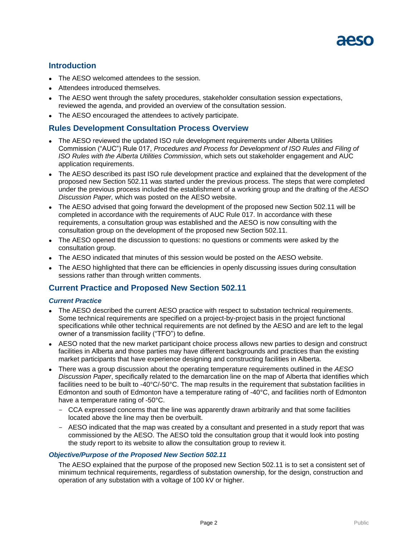

## **Introduction**

- The AESO welcomed attendees to the session.
- Attendees introduced themselves.
- The AESO went through the safety procedures, stakeholder consultation session expectations, reviewed the agenda, and provided an overview of the consultation session.
- The AESO encouraged the attendees to actively participate.

## **Rules Development Consultation Process Overview**

- The AESO reviewed the updated ISO rule development requirements under Alberta Utilities Commission ("AUC") Rule 017, *Procedures and Process for Development of ISO Rules and Filing of ISO Rules with the Alberta Utilities Commission*, which sets out stakeholder engagement and AUC application requirements.
- The AESO described its past ISO rule development practice and explained that the development of the proposed new Section 502.11 was started under the previous process. The steps that were completed under the previous process included the establishment of a working group and the drafting of the *AESO Discussion Paper,* which was posted on the AESO website.
- The AESO advised that going forward the development of the proposed new Section 502.11 will be completed in accordance with the requirements of AUC Rule 017. In accordance with these requirements, a consultation group was established and the AESO is now consulting with the consultation group on the development of the proposed new Section 502.11.
- The AESO opened the discussion to questions: no questions or comments were asked by the consultation group.
- The AESO indicated that minutes of this session would be posted on the AESO website.
- The AESO highlighted that there can be efficiencies in openly discussing issues during consultation sessions rather than through written comments.

# **Current Practice and Proposed New Section 502.11**

#### *Current Practice*

- The AESO described the current AESO practice with respect to substation technical requirements. Some technical requirements are specified on a project-by-project basis in the project functional specifications while other technical requirements are not defined by the AESO and are left to the legal owner of a transmission facility ("TFO") to define.
- AESO noted that the new market participant choice process allows new parties to design and construct facilities in Alberta and those parties may have different backgrounds and practices than the existing market participants that have experience designing and constructing facilities in Alberta.
- There was a group discussion about the operating temperature requirements outlined in the *AESO Discussion Paper*, specifically related to the demarcation line on the map of Alberta that identifies which facilities need to be built to -40°C/-50°C. The map results in the requirement that substation facilities in Edmonton and south of Edmonton have a temperature rating of -40°C, and facilities north of Edmonton have a temperature rating of -50°C.
	- CCA expressed concerns that the line was apparently drawn arbitrarily and that some facilities located above the line may then be overbuilt.
	- AESO indicated that the map was created by a consultant and presented in a study report that was commissioned by the AESO. The AESO told the consultation group that it would look into posting the study report to its website to allow the consultation group to review it.

#### *Objective/Purpose of the Proposed New Section 502.11*

The AESO explained that the purpose of the proposed new Section 502.11 is to set a consistent set of minimum technical requirements, regardless of substation ownership, for the design, construction and operation of any substation with a voltage of 100 kV or higher.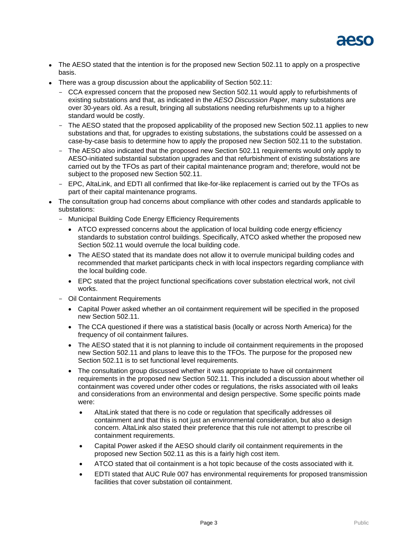

- The AESO stated that the intention is for the proposed new Section 502.11 to apply on a prospective basis.
- There was a group discussion about the applicability of Section 502.11:
	- CCA expressed concern that the proposed new Section 502.11 would apply to refurbishments of existing substations and that, as indicated in the *AESO Discussion Paper*, many substations are over 30-years old. As a result, bringing all substations needing refurbishments up to a higher standard would be costly.
	- The AESO stated that the proposed applicability of the proposed new Section 502.11 applies to new substations and that, for upgrades to existing substations, the substations could be assessed on a case-by-case basis to determine how to apply the proposed new Section 502.11 to the substation.
	- The AESO also indicated that the proposed new Section 502.11 requirements would only apply to AESO-initiated substantial substation upgrades and that refurbishment of existing substations are carried out by the TFOs as part of their capital maintenance program and; therefore, would not be subject to the proposed new Section 502.11.
	- EPC, AltaLink, and EDTI all confirmed that like-for-like replacement is carried out by the TFOs as part of their capital maintenance programs.
- The consultation group had concerns about compliance with other codes and standards applicable to substations:
	- Municipal Building Code Energy Efficiency Requirements
		- ATCO expressed concerns about the application of local building code energy efficiency standards to substation control buildings. Specifically, ATCO asked whether the proposed new Section 502.11 would overrule the local building code.
		- The AESO stated that its mandate does not allow it to overrule municipal building codes and recommended that market participants check in with local inspectors regarding compliance with the local building code.
		- EPC stated that the project functional specifications cover substation electrical work, not civil works.
	- Oil Containment Requirements
		- Capital Power asked whether an oil containment requirement will be specified in the proposed new Section 502.11.
		- The CCA questioned if there was a statistical basis (locally or across North America) for the frequency of oil containment failures.
		- The AESO stated that it is not planning to include oil containment requirements in the proposed new Section 502.11 and plans to leave this to the TFOs. The purpose for the proposed new Section 502.11 is to set functional level requirements.
		- The consultation group discussed whether it was appropriate to have oil containment requirements in the proposed new Section 502.11. This included a discussion about whether oil containment was covered under other codes or regulations, the risks associated with oil leaks and considerations from an environmental and design perspective. Some specific points made were:
			- AltaLink stated that there is no code or regulation that specifically addresses oil containment and that this is not just an environmental consideration, but also a design concern. AltaLink also stated their preference that this rule not attempt to prescribe oil containment requirements.
			- Capital Power asked if the AESO should clarify oil containment requirements in the proposed new Section 502.11 as this is a fairly high cost item.
			- ATCO stated that oil containment is a hot topic because of the costs associated with it.
			- EDTI stated that AUC Rule 007 has environmental requirements for proposed transmission facilities that cover substation oil containment.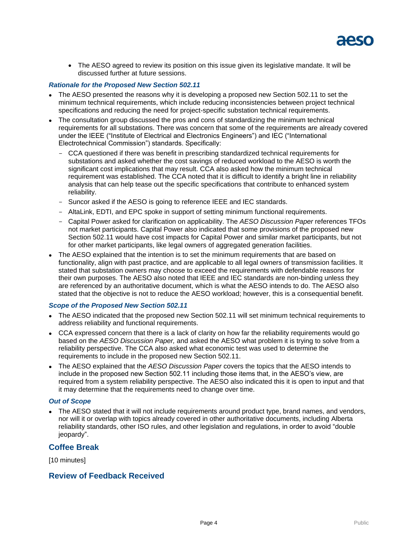

• The AESO agreed to review its position on this issue given its legislative mandate. It will be discussed further at future sessions.

#### *Rationale for the Proposed New Section 502.11*

- The AESO presented the reasons why it is developing a proposed new Section 502.11 to set the minimum technical requirements, which include reducing inconsistencies between project technical specifications and reducing the need for project-specific substation technical requirements.
- The consultation group discussed the pros and cons of standardizing the minimum technical requirements for all substations. There was concern that some of the requirements are already covered under the IEEE ("Institute of Electrical and Electronics Engineers") and IEC ("International Electrotechnical Commission") standards. Specifically:
	- CCA questioned if there was benefit in prescribing standardized technical requirements for substations and asked whether the cost savings of reduced workload to the AESO is worth the significant cost implications that may result. CCA also asked how the minimum technical requirement was established. The CCA noted that it is difficult to identify a bright line in reliability analysis that can help tease out the specific specifications that contribute to enhanced system reliability.
	- Suncor asked if the AESO is going to reference IEEE and IEC standards.
	- AltaLink, EDTI, and EPC spoke in support of setting minimum functional requirements.
	- Capital Power asked for clarification on applicability. The *AESO Discussion Paper* references TFOs not market participants. Capital Power also indicated that some provisions of the proposed new Section 502.11 would have cost impacts for Capital Power and similar market participants, but not for other market participants, like legal owners of aggregated generation facilities.
- The AESO explained that the intention is to set the minimum requirements that are based on functionality, align with past practice, and are applicable to all legal owners of transmission facilities. It stated that substation owners may choose to exceed the requirements with defendable reasons for their own purposes. The AESO also noted that IEEE and IEC standards are non-binding unless they are referenced by an authoritative document, which is what the AESO intends to do. The AESO also stated that the objective is not to reduce the AESO workload; however, this is a consequential benefit.

#### *Scope of the Proposed New Section 502.11*

- The AESO indicated that the proposed new Section 502.11 will set minimum technical requirements to address reliability and functional requirements.
- CCA expressed concern that there is a lack of clarity on how far the reliability requirements would go based on the *AESO Discussion Paper,* and asked the AESO what problem it is trying to solve from a reliability perspective. The CCA also asked what economic test was used to determine the requirements to include in the proposed new Section 502.11.
- The AESO explained that the *AESO Discussion Paper* covers the topics that the AESO intends to include in the proposed new Section 502.11 including those items that, in the AESO's view, are required from a system reliability perspective. The AESO also indicated this it is open to input and that it may determine that the requirements need to change over time.

#### *Out of Scope*

 The AESO stated that it will not include requirements around product type, brand names, and vendors, nor will it or overlap with topics already covered in other authoritative documents, including Alberta reliability standards, other ISO rules, and other legislation and regulations, in order to avoid "double jeopardy".

#### **Coffee Break**

[10 minutes]

## **Review of Feedback Received**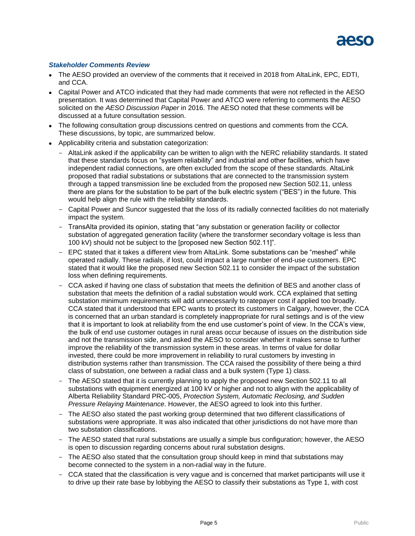#### *Stakeholder Comments Review*

- The AESO provided an overview of the comments that it received in 2018 from AltaLink, EPC, EDTI, and CCA.
- Capital Power and ATCO indicated that they had made comments that were not reflected in the AESO presentation. It was determined that Capital Power and ATCO were referring to comments the AESO solicited on the *AESO Discussion Paper* in 2016. The AESO noted that these comments will be discussed at a future consultation session.
- The following consultation group discussions centred on questions and comments from the CCA. These discussions, by topic, are summarized below.
- Applicability criteria and substation categorization:
	- AltaLink asked if the applicability can be written to align with the NERC reliability standards. It stated that these standards focus on "system reliability" and industrial and other facilities, which have independent radial connections, are often excluded from the scope of these standards. AltaLink proposed that radial substations or substations that are connected to the transmission system through a tapped transmission line be excluded from the proposed new Section 502.11, unless there are plans for the substation to be part of the bulk electric system ("BES") in the future. This would help align the rule with the reliability standards.
	- Capital Power and Suncor suggested that the loss of its radially connected facilities do not materially impact the system.
	- TransAlta provided its opinion, stating that "any substation or generation facility or collector substation of aggregated generation facility (where the transformer secondary voltage is less than 100 kV) should not be subject to the [proposed new Section 502.11]".
	- EPC stated that it takes a different view from AltaLink. Some substations can be "meshed" while operated radially. These radials, if lost, could impact a large number of end-use customers. EPC stated that it would like the proposed new Section 502.11 to consider the impact of the substation loss when defining requirements.
	- CCA asked if having one class of substation that meets the definition of BES and another class of substation that meets the definition of a radial substation would work. CCA explained that setting substation minimum requirements will add unnecessarily to ratepayer cost if applied too broadly. CCA stated that it understood that EPC wants to protect its customers in Calgary, however, the CCA is concerned that an urban standard is completely inappropriate for rural settings and is of the view that it is important to look at reliability from the end use customer's point of view. In the CCA's view, the bulk of end use customer outages in rural areas occur because of issues on the distribution side and not the transmission side, and asked the AESO to consider whether it makes sense to further improve the reliability of the transmission system in these areas. In terms of value for dollar invested, there could be more improvement in reliability to rural customers by investing in distribution systems rather than transmission. The CCA raised the possibility of there being a third class of substation, one between a radial class and a bulk system (Type 1) class.
	- The AESO stated that it is currently planning to apply the proposed new Section 502.11 to all substations with equipment energized at 100 kV or higher and not to align with the applicability of Alberta Reliability Standard PRC-005, *Protection System, Automatic Reclosing, and Sudden Pressure Relaying Maintenance*. However, the AESO agreed to look into this further.
	- The AESO also stated the past working group determined that two different classifications of substations were appropriate. It was also indicated that other jurisdictions do not have more than two substation classifications.
	- The AESO stated that rural substations are usually a simple bus configuration; however, the AESO is open to discussion regarding concerns about rural substation designs.
	- The AESO also stated that the consultation group should keep in mind that substations may become connected to the system in a non-radial way in the future.
	- CCA stated that the classification is very vague and is concerned that market participants will use it to drive up their rate base by lobbying the AESO to classify their substations as Type 1, with cost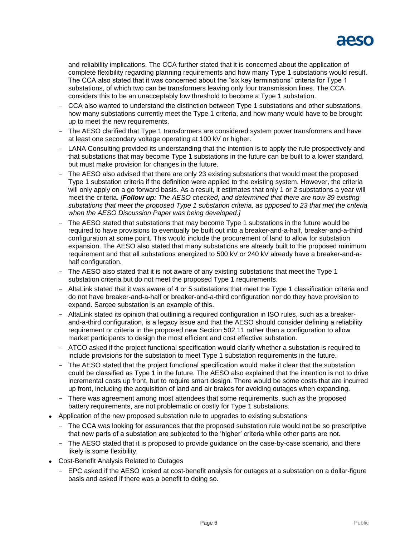

and reliability implications. The CCA further stated that it is concerned about the application of complete flexibility regarding planning requirements and how many Type 1 substations would result. The CCA also stated that it was concerned about the "six key terminations" criteria for Type 1 substations, of which two can be transformers leaving only four transmission lines. The CCA considers this to be an unacceptably low threshold to become a Type 1 substation.

- CCA also wanted to understand the distinction between Type 1 substations and other substations, how many substations currently meet the Type 1 criteria, and how many would have to be brought up to meet the new requirements.
- The AESO clarified that Type 1 transformers are considered system power transformers and have at least one secondary voltage operating at 100 kV or higher.
- LANA Consulting provided its understanding that the intention is to apply the rule prospectively and that substations that may become Type 1 substations in the future can be built to a lower standard, but must make provision for changes in the future.
- The AESO also advised that there are only 23 existing substations that would meet the proposed Type 1 substation criteria if the definition were applied to the existing system. However, the criteria will only apply on a go forward basis. As a result, it estimates that only 1 or 2 substations a year will meet the criteria. *[Follow up: The AESO checked, and determined that there are now 39 existing substations that meet the proposed Type 1 substation criteria, as opposed to 23 that met the criteria when the AESO Discussion Paper was being developed.]*
- The AESO stated that substations that may become Type 1 substations in the future would be required to have provisions to eventually be built out into a breaker-and-a-half, breaker-and-a-third configuration at some point. This would include the procurement of land to allow for substation expansion. The AESO also stated that many substations are already built to the proposed minimum requirement and that all substations energized to 500 kV or 240 kV already have a breaker-and-ahalf configuration.
- The AESO also stated that it is not aware of any existing substations that meet the Type 1 substation criteria but do not meet the proposed Type 1 requirements.
- AltaLink stated that it was aware of 4 or 5 substations that meet the Type 1 classification criteria and do not have breaker-and-a-half or breaker-and-a-third configuration nor do they have provision to expand. Sarcee substation is an example of this.
- AltaLink stated its opinion that outlining a required configuration in ISO rules, such as a breakerand-a-third configuration, is a legacy issue and that the AESO should consider defining a reliability requirement or criteria in the proposed new Section 502.11 rather than a configuration to allow market participants to design the most efficient and cost effective substation.
- ATCO asked if the project functional specification would clarify whether a substation is required to include provisions for the substation to meet Type 1 substation requirements in the future.
- The AESO stated that the project functional specification would make it clear that the substation could be classified as Type 1 in the future. The AESO also explained that the intention is not to drive incremental costs up front, but to require smart design. There would be some costs that are incurred up front, including the acquisition of land and air brakes for avoiding outages when expanding.
- There was agreement among most attendees that some requirements, such as the proposed battery requirements, are not problematic or costly for Type 1 substations.
- Application of the new proposed substation rule to upgrades to existing substations
	- The CCA was looking for assurances that the proposed substation rule would not be so prescriptive that new parts of a substation are subjected to the 'higher' criteria while other parts are not.
	- The AESO stated that it is proposed to provide guidance on the case-by-case scenario, and there likely is some flexibility.
- Cost-Benefit Analysis Related to Outages
	- EPC asked if the AESO looked at cost-benefit analysis for outages at a substation on a dollar-figure basis and asked if there was a benefit to doing so.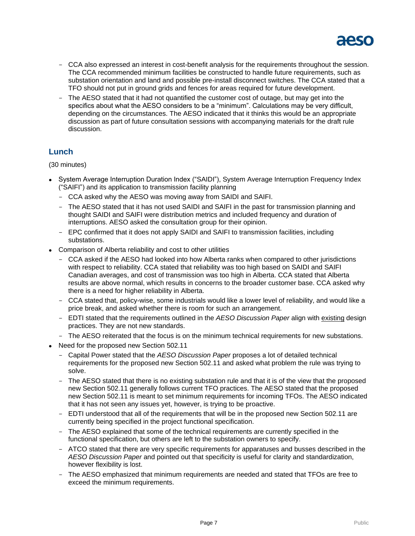

- CCA also expressed an interest in cost-benefit analysis for the requirements throughout the session. The CCA recommended minimum facilities be constructed to handle future requirements, such as substation orientation and land and possible pre-install disconnect switches. The CCA stated that a TFO should not put in ground grids and fences for areas required for future development.
- The AESO stated that it had not quantified the customer cost of outage, but may get into the specifics about what the AESO considers to be a "minimum". Calculations may be very difficult, depending on the circumstances. The AESO indicated that it thinks this would be an appropriate discussion as part of future consultation sessions with accompanying materials for the draft rule discussion.

# **Lunch**

(30 minutes)

- System Average Interruption Duration Index ("SAIDI"), System Average Interruption Frequency Index ("SAIFI") and its application to transmission facility planning
	- CCA asked why the AESO was moving away from SAIDI and SAIFI.
	- The AESO stated that it has not used SAIDI and SAIFI in the past for transmission planning and thought SAIDI and SAIFI were distribution metrics and included frequency and duration of interruptions. AESO asked the consultation group for their opinion.
	- EPC confirmed that it does not apply SAIDI and SAIFI to transmission facilities, including substations.
- Comparison of Alberta reliability and cost to other utilities
	- CCA asked if the AESO had looked into how Alberta ranks when compared to other jurisdictions with respect to reliability. CCA stated that reliability was too high based on SAIDI and SAIFI Canadian averages, and cost of transmission was too high in Alberta. CCA stated that Alberta results are above normal, which results in concerns to the broader customer base. CCA asked why there is a need for higher reliability in Alberta.
	- CCA stated that, policy-wise, some industrials would like a lower level of reliability, and would like a price break, and asked whether there is room for such an arrangement.
	- EDTI stated that the requirements outlined in the *AESO Discussion Paper* align with existing design practices. They are not new standards.
	- The AESO reiterated that the focus is on the minimum technical requirements for new substations.
- Need for the proposed new Section 502.11
	- Capital Power stated that the *AESO Discussion Paper* proposes a lot of detailed technical requirements for the proposed new Section 502.11 and asked what problem the rule was trying to solve.
	- The AESO stated that there is no existing substation rule and that it is of the view that the proposed new Section 502.11 generally follows current TFO practices. The AESO stated that the proposed new Section 502.11 is meant to set minimum requirements for incoming TFOs. The AESO indicated that it has not seen any issues yet, however, is trying to be proactive.
	- EDTI understood that all of the requirements that will be in the proposed new Section 502.11 are currently being specified in the project functional specification.
	- The AESO explained that some of the technical requirements are currently specified in the functional specification, but others are left to the substation owners to specify.
	- ATCO stated that there are very specific requirements for apparatuses and busses described in the *AESO Discussion Paper* and pointed out that specificity is useful for clarity and standardization, however flexibility is lost.
	- The AESO emphasized that minimum requirements are needed and stated that TFOs are free to exceed the minimum requirements.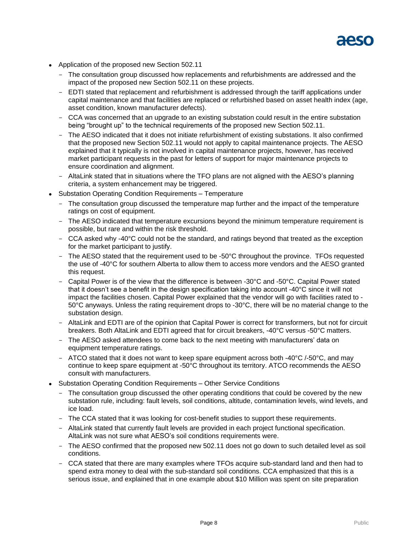

- Application of the proposed new Section 502.11
	- The consultation group discussed how replacements and refurbishments are addressed and the impact of the proposed new Section 502.11 on these projects.
	- EDTI stated that replacement and refurbishment is addressed through the tariff applications under capital maintenance and that facilities are replaced or refurbished based on asset health index (age, asset condition, known manufacturer defects).
	- CCA was concerned that an upgrade to an existing substation could result in the entire substation being "brought up" to the technical requirements of the proposed new Section 502.11.
	- The AESO indicated that it does not initiate refurbishment of existing substations. It also confirmed that the proposed new Section 502.11 would not apply to capital maintenance projects. The AESO explained that it typically is not involved in capital maintenance projects, however, has received market participant requests in the past for letters of support for major maintenance projects to ensure coordination and alignment.
	- AltaLink stated that in situations where the TFO plans are not aligned with the AESO's planning criteria, a system enhancement may be triggered.
- Substation Operating Condition Requirements Temperature
	- The consultation group discussed the temperature map further and the impact of the temperature ratings on cost of equipment.
	- The AESO indicated that temperature excursions beyond the minimum temperature requirement is possible, but rare and within the risk threshold.
	- CCA asked why -40°C could not be the standard, and ratings beyond that treated as the exception for the market participant to justify.
	- The AESO stated that the requirement used to be -50°C throughout the province. TFOs requested the use of -40°C for southern Alberta to allow them to access more vendors and the AESO granted this request.
	- Capital Power is of the view that the difference is between -30°C and -50°C. Capital Power stated that it doesn't see a benefit in the design specification taking into account -40°C since it will not impact the facilities chosen. Capital Power explained that the vendor will go with facilities rated to - 50°C anyways. Unless the rating requirement drops to -30°C, there will be no material change to the substation design.
	- AltaLink and EDTI are of the opinion that Capital Power is correct for transformers, but not for circuit breakers. Both AltaLink and EDTI agreed that for circuit breakers, -40°C versus -50°C matters.
	- The AESO asked attendees to come back to the next meeting with manufacturers' data on equipment temperature ratings.
	- ATCO stated that it does not want to keep spare equipment across both -40 $\degree$ C /-50 $\degree$ C, and may continue to keep spare equipment at -50°C throughout its territory. ATCO recommends the AESO consult with manufacturers.
- Substation Operating Condition Requirements Other Service Conditions
	- The consultation group discussed the other operating conditions that could be covered by the new substation rule, including: fault levels, soil conditions, altitude, contamination levels, wind levels, and ice load.
	- The CCA stated that it was looking for cost-benefit studies to support these requirements.
	- AltaLink stated that currently fault levels are provided in each project functional specification. AltaLink was not sure what AESO's soil conditions requirements were.
	- The AESO confirmed that the proposed new 502.11 does not go down to such detailed level as soil conditions.
	- CCA stated that there are many examples where TFOs acquire sub-standard land and then had to spend extra money to deal with the sub-standard soil conditions. CCA emphasized that this is a serious issue, and explained that in one example about \$10 Million was spent on site preparation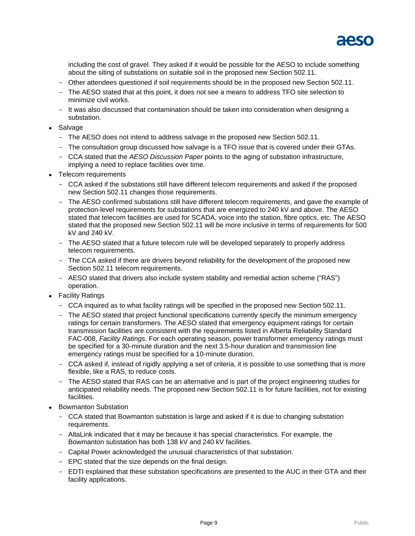

including the cost of gravel. They asked if it would be possible for the AESO to include something about the siting of substations on suitable soil in the proposed new Section 502.11.

- Other attendees questioned if soil requirements should be in the proposed new Section 502.11.
- The AESO stated that at this point, it does not see a means to address TFO site selection to minimize civil works.
- It was also discussed that contamination should be taken into consideration when designing a substation.
- Salvage
	- The AESO does not intend to address salvage in the proposed new Section 502.11.
	- The consultation group discussed how salvage is a TFO issue that is covered under their GTAs.
	- CCA stated that the *AESO Discussion Paper* points to the aging of substation infrastructure, implying a need to replace facilities over time.
- Telecom requirements
	- CCA asked if the substations still have different telecom requirements and asked if the proposed new Section 502.11 changes those requirements.
	- The AESO confirmed substations still have different telecom requirements, and gave the example of protection-level requirements for substations that are energized to 240 kV and above. The AESO stated that telecom facilities are used for SCADA, voice into the station, fibre optics, etc. The AESO stated that the proposed new Section 502.11 will be more inclusive in terms of requirements for 500 kV and 240 kV.
	- The AESO stated that a future telecom rule will be developed separately to properly address telecom requirements.
	- The CCA asked if there are drivers beyond reliability for the development of the proposed new Section 502.11 telecom requirements.
	- AESO stated that drivers also include system stability and remedial action scheme ("RAS") operation.
- Facility Ratings
	- CCA inquired as to what facility ratings will be specified in the proposed new Section 502.11.
	- The AESO stated that project functional specifications currently specify the minimum emergency ratings for certain transformers. The AESO stated that emergency equipment ratings for certain transmission facilities are consistent with the requirements listed in Alberta Reliability Standard FAC-008, *Facility Ratings*. For each operating season, power transformer emergency ratings must be specified for a 30-minute duration and the next 3.5-hour duration and transmission line emergency ratings must be specified for a 10-minute duration.
	- CCA asked if, instead of rigidly applying a set of criteria, it is possible to use something that is more flexible, like a RAS, to reduce costs.
	- The AESO stated that RAS can be an alternative and is part of the project engineering studies for anticipated reliability needs. The proposed new Section 502.11 is for future facilities, not for existing facilities.
- Bowmanton Substation
	- CCA stated that Bowmanton substation is large and asked if it is due to changing substation requirements.
	- AltaLink indicated that it may be because it has special characteristics. For example, the Bowmanton substation has both 138 kV and 240 kV facilities.
	- Capital Power acknowledged the unusual characteristics of that substation.
	- EPC stated that the size depends on the final design.
	- EDTI explained that these substation specifications are presented to the AUC in their GTA and their facility applications.